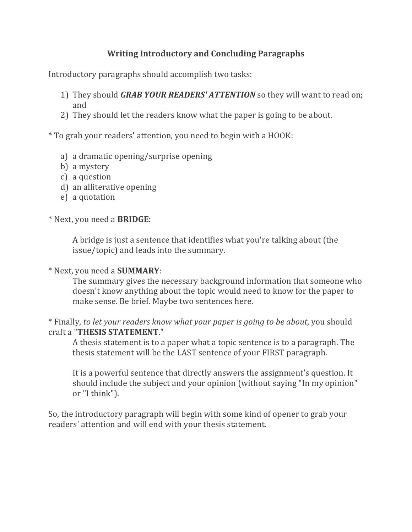## **Writing Introductory and Concluding Paragraphs**

Introductory paragraphs should accomplish two tasks:

- 1) They should *GRAB YOUR READERS' ATTENTION* so they will want to read on; and
- 2) They should let the readers know what the paper is going to be about.

\* To grab your readers' attention, you need to begin with a HOOK:

- a) a dramatic opening/surprise opening
- b) a mystery
- c) a question
- d) an alliterative opening
- e) a quotation

\* Next, you need a **BRIDGE**:

A bridge is just a sentence that identifies what you're talking about (the issue/topic) and leads into the summary.

## \* Next, you need a **SUMMARY**:

The summary gives the necessary background information that someone who doesn't know anything about the topic would need to know for the paper to make sense. Be brief. Maybe two sentences here.

\* Finally, *to let your readers know what your paper is going to be about*, you should craft a "**THESIS STATEMENT**."

A thesis statement is to a paper what a topic sentence is to a paragraph. The thesis statement will be the LAST sentence of your FIRST paragraph.

It is a powerful sentence that directly answers the assignment's question. It should include the subject and your opinion (without saying "In my opinion" or "I think").

So, the introductory paragraph will begin with some kind of opener to grab your readers' attention and will end with your thesis statement.